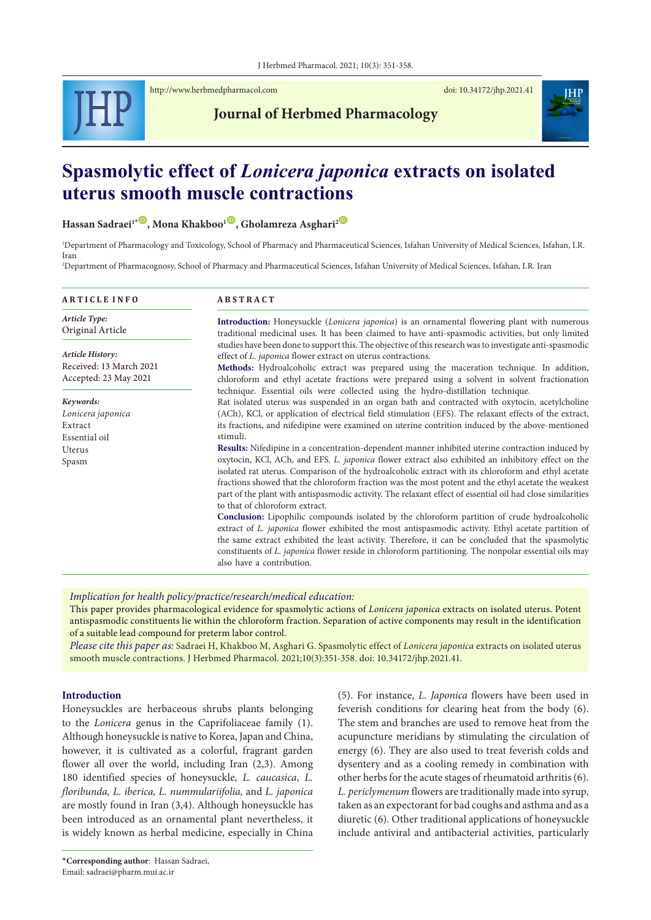

<http://www.herbmedpharmacol.com> doi: [10.34172/jhp.2021.41](https://doi.org/10.34172/jhp.2021.41)



# **Journal of Herbmed Pharmacology**

# **Spasmolytic effect of** *Lonicera japonica* **extracts on isolated uterus smooth muscle contractions**

 $H$ assan Sadraei<sup>1\*</sup><sup>(1)</sup>, Mona Khakboo<sup>1</sup><sup>(10)</sup>, Gholamreza Asghari<sup>2</sup><sup>(10)</sup>

1 Department of Pharmacology and Toxicology, School of Pharmacy and Pharmaceutical Sciences, Isfahan University of Medical Sciences, Isfahan, I.R. Iran

2 Department of Pharmacognosy, School of Pharmacy and Pharmaceutical Sciences, Isfahan University of Medical Sciences, Isfahan, I.R. Iran

| <b>ARTICLE INFO</b>                              | <b>ABSTRACT</b>                                                                                                                                                                                                                                                                                                                                                                                                                                                  |  |  |
|--------------------------------------------------|------------------------------------------------------------------------------------------------------------------------------------------------------------------------------------------------------------------------------------------------------------------------------------------------------------------------------------------------------------------------------------------------------------------------------------------------------------------|--|--|
| Article Type:<br>Original Article                | <b>Introduction:</b> Honeysuckle <i>(Lonicera japonica)</i> is an ornamental flowering plant with numerous<br>traditional medicinal uses. It has been claimed to have anti-spasmodic activities, but only limited                                                                                                                                                                                                                                                |  |  |
| Article History:                                 | studies have been done to support this. The objective of this research was to investigate anti-spasmodic<br>effect of L. japonica flower extract on uterus contractions.                                                                                                                                                                                                                                                                                         |  |  |
| Received: 13 March 2021<br>Accepted: 23 May 2021 | Methods: Hydroalcoholic extract was prepared using the maceration technique. In addition,<br>chloroform and ethyl acetate fractions were prepared using a solvent in solvent fractionation<br>technique. Essential oils were collected using the hydro-distillation technique.                                                                                                                                                                                   |  |  |
| Keywords:                                        | Rat isolated uterus was suspended in an organ bath and contracted with oxytocin, acetylcholine                                                                                                                                                                                                                                                                                                                                                                   |  |  |
| Lonicera japonica                                | (ACh), KCl, or application of electrical field stimulation (EFS). The relaxant effects of the extract,                                                                                                                                                                                                                                                                                                                                                           |  |  |
| Extract                                          | its fractions, and nifedipine were examined on uterine contrition induced by the above-mentioned                                                                                                                                                                                                                                                                                                                                                                 |  |  |
| Essential oil                                    | stimuli.                                                                                                                                                                                                                                                                                                                                                                                                                                                         |  |  |
| Uterus                                           | Results: Nifedipine in a concentration-dependent manner inhibited uterine contraction induced by                                                                                                                                                                                                                                                                                                                                                                 |  |  |
| Spasm                                            | oxytocin, KCl, ACh, and EFS. L. japonica flower extract also exhibited an inhibitory effect on the<br>isolated rat uterus. Comparison of the hydroalcoholic extract with its chloroform and ethyl acetate<br>fractions showed that the chloroform fraction was the most potent and the ethyl acetate the weakest<br>part of the plant with antispasmodic activity. The relaxant effect of essential oil had close similarities<br>to that of chloroform extract. |  |  |
|                                                  | Conclusion: Lipophilic compounds isolated by the chloroform partition of crude hydroalcoholic<br>extract of L. japonica flower exhibited the most antispasmodic activity. Ethyl acetate partition of<br>the same extract exhibited the least activity. Therefore, it can be concluded that the spasmolytic<br>constituents of L. japonica flower reside in chloroform partitioning. The nonpolar essential oils may<br>also have a contribution.                 |  |  |

*Implication for health policy/practice/research/medical education:*

This paper provides pharmacological evidence for spasmolytic actions of *Lonicera japonica* extracts on isolated uterus. Potent antispasmodic constituents lie within the chloroform fraction. Separation of active components may result in the identification of a suitable lead compound for preterm labor control.

*Please cite this paper as:* Sadraei H, Khakboo M, Asghari G. Spasmolytic effect of *Lonicera japonica* extracts on isolated uterus smooth muscle contractions. J Herbmed Pharmacol. 2021;10(3):351-358. doi: 10.34172/jhp.2021.41.

#### **Introduction**

Honeysuckles are herbaceous shrubs plants belonging to the *Lonicera* genus in the Caprifoliaceae family (1). Although honeysuckle is native to Korea, Japan and China, however, it is cultivated as a colorful, fragrant garden flower all over the world, including Iran (2,3). Among 180 identified species of honeysuckle, *L. caucasica*, *L. floribunda, L. iberica, L. nummulariifolia,* and *L. japonica* are mostly found in Iran (3,4). Although honeysuckle has been introduced as an ornamental plant nevertheless, it is widely known as herbal medicine, especially in China

(5). For instance, *L. Japonica* flowers have been used in feverish conditions for clearing heat from the body (6). The stem and branches are used to remove heat from the acupuncture meridians by stimulating the circulation of energy (6). They are also used to treat feverish colds and dysentery and as a cooling remedy in combination with other herbs for the acute stages of rheumatoid arthritis (6). *L. periclymenum* flowers are traditionally made into syrup, taken as an expectorant for bad coughs and asthma and as a diuretic (6). Other traditional applications of honeysuckle include antiviral and antibacterial activities, particularly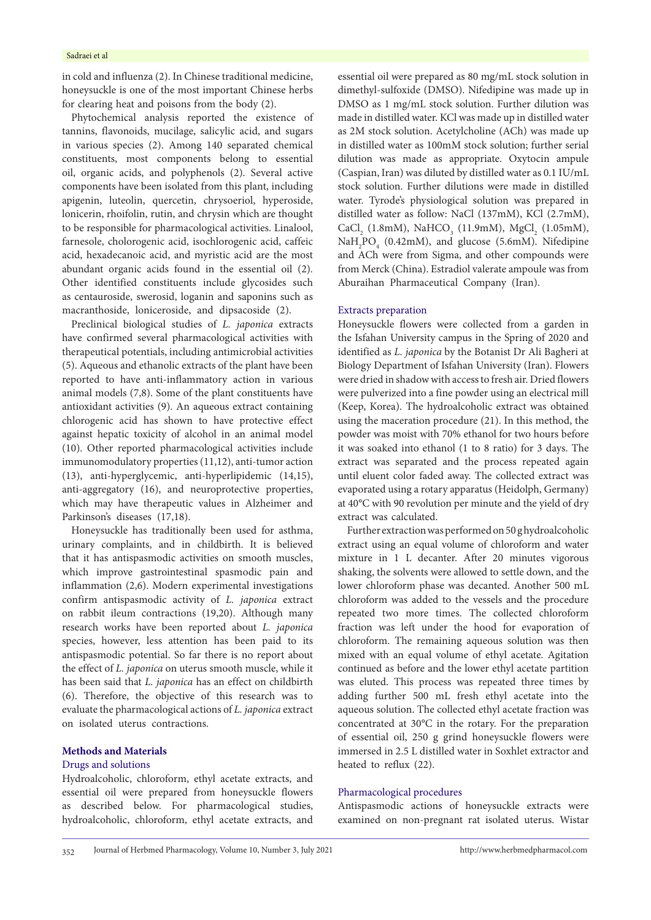in cold and influenza (2). In Chinese traditional medicine, honeysuckle is one of the most important Chinese herbs for clearing heat and poisons from the body (2).

Phytochemical analysis reported the existence of tannins, flavonoids, mucilage, salicylic acid, and sugars in various species (2). Among 140 separated chemical constituents, most components belong to essential oil, organic acids, and polyphenols (2). Several active components have been isolated from this plant, including apigenin, luteolin, quercetin, chrysoeriol, hyperoside, lonicerin, rhoifolin, rutin, and chrysin which are thought to be responsible for pharmacological activities. Linalool, farnesole, cholorogenic acid, isochlorogenic acid, caffeic acid, hexadecanoic acid, and myristic acid are the most abundant organic acids found in the essential oil (2). Other identified constituents include glycosides such as centauroside, swerosid, loganin and saponins such as macranthoside, loniceroside, and dipsacoside (2).

Preclinical biological studies of *L. japonica* extracts have confirmed several pharmacological activities with therapeutical potentials, including antimicrobial activities (5). Aqueous and ethanolic extracts of the plant have been reported to have anti-inflammatory action in various animal models (7,8). Some of the plant constituents have antioxidant activities (9). An aqueous extract containing chlorogenic acid has shown to have protective effect against hepatic toxicity of alcohol in an animal model (10). Other reported pharmacological activities include immunomodulatory properties (11,12), anti-tumor action (13), anti-hyperglycemic, anti-hyperlipidemic (14,15), anti-aggregatory (16), and neuroprotective properties, which may have therapeutic values in Alzheimer and Parkinson's diseases (17,18).

Honeysuckle has traditionally been used for asthma, urinary complaints, and in childbirth. It is believed that it has antispasmodic activities on smooth muscles, which improve gastrointestinal spasmodic pain and inflammation (2,6). Modern experimental investigations confirm antispasmodic activity of *L. japonica* extract on rabbit ileum contractions (19,20). Although many research works have been reported about *L. japonica* species, however, less attention has been paid to its antispasmodic potential. So far there is no report about the effect of *L. japonica* on uterus smooth muscle, while it has been said that *L. japonica* has an effect on childbirth (6). Therefore, the objective of this research was to evaluate the pharmacological actions of *L. japonica* extract on isolated uterus contractions.

## **Methods and Materials**

# Drugs and solutions

Hydroalcoholic, chloroform, ethyl acetate extracts, and essential oil were prepared from honeysuckle flowers as described below. For pharmacological studies, hydroalcoholic, chloroform, ethyl acetate extracts, and

essential oil were prepared as 80 mg/mL stock solution in dimethyl-sulfoxide (DMSO). Nifedipine was made up in DMSO as 1 mg/mL stock solution. Further dilution was made in distilled water. KCl was made up in distilled water as 2M stock solution. Acetylcholine (ACh) was made up in distilled water as 100mM stock solution; further serial dilution was made as appropriate. Oxytocin ampule (Caspian, Iran) was diluted by distilled water as 0.1 IU/mL stock solution. Further dilutions were made in distilled water. Tyrode's physiological solution was prepared in distilled water as follow: NaCl (137mM), KCl (2.7mM),  $CaCl<sub>2</sub>$  (1.8mM), NaHCO<sub>3</sub> (11.9mM), MgCl<sub>2</sub> (1.05mM), NaH<sub>2</sub>PO<sub>4</sub> (0.42mM), and glucose (5.6mM). Nifedipine and ACh were from Sigma, and other compounds were from Merck (China). Estradiol valerate ampoule was from Aburaihan Pharmaceutical Company (Iran).

#### Extracts preparation

Honeysuckle flowers were collected from a garden in the Isfahan University campus in the Spring of 2020 and identified as *L. japonica* by the Botanist Dr Ali Bagheri at Biology Department of Isfahan University (Iran). Flowers were dried in shadow with access to fresh air. Dried flowers were pulverized into a fine powder using an electrical mill (Keep, Korea). The hydroalcoholic extract was obtained using the maceration procedure (21). In this method, the powder was moist with 70% ethanol for two hours before it was soaked into ethanol (1 to 8 ratio) for 3 days. The extract was separated and the process repeated again until eluent color faded away. The collected extract was evaporated using a rotary apparatus (Heidolph, Germany) at 40°C with 90 revolution per minute and the yield of dry extract was calculated.

Further extraction was performed on 50 g hydroalcoholic extract using an equal volume of chloroform and water mixture in 1 L decanter. After 20 minutes vigorous shaking, the solvents were allowed to settle down, and the lower chloroform phase was decanted. Another 500 mL chloroform was added to the vessels and the procedure repeated two more times. The collected chloroform fraction was left under the hood for evaporation of chloroform. The remaining aqueous solution was then mixed with an equal volume of ethyl acetate. Agitation continued as before and the lower ethyl acetate partition was eluted. This process was repeated three times by adding further 500 mL fresh ethyl acetate into the aqueous solution. The collected ethyl acetate fraction was concentrated at 30°C in the rotary. For the preparation of essential oil, 250 g grind honeysuckle flowers were immersed in 2.5 L distilled water in Soxhlet extractor and heated to reflux (22).

#### Pharmacological procedures

Antispasmodic actions of honeysuckle extracts were examined on non-pregnant rat isolated uterus. Wistar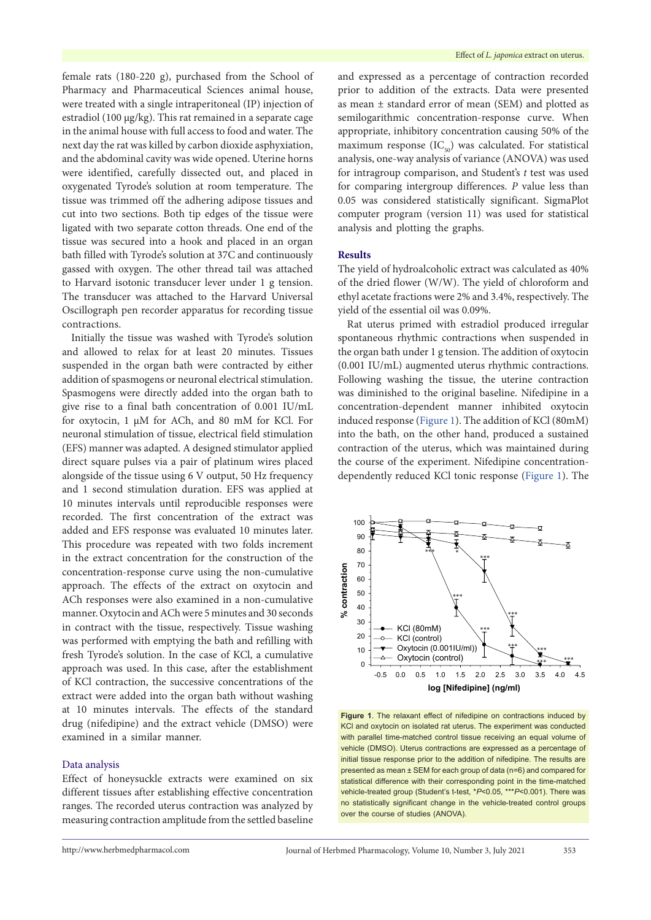female rats (180-220 g), purchased from the School of Pharmacy and Pharmaceutical Sciences animal house, were treated with a single intraperitoneal (IP) injection of estradiol (100 µg/kg). This rat remained in a separate cage in the animal house with full access to food and water. The next day the rat was killed by carbon dioxide asphyxiation, and the abdominal cavity was wide opened. Uterine horns were identified, carefully dissected out, and placed in oxygenated Tyrode's solution at room temperature. The tissue was trimmed off the adhering adipose tissues and cut into two sections. Both tip edges of the tissue were ligated with two separate cotton threads. One end of the tissue was secured into a hook and placed in an organ bath filled with Tyrode's solution at 37C and continuously gassed with oxygen. The other thread tail was attached to Harvard isotonic transducer lever under 1 g tension. The transducer was attached to the Harvard Universal Oscillograph pen recorder apparatus for recording tissue contractions.

Initially the tissue was washed with Tyrode's solution and allowed to relax for at least 20 minutes. Tissues suspended in the organ bath were contracted by either addition of spasmogens or neuronal electrical stimulation. Spasmogens were directly added into the organ bath to give rise to a final bath concentration of 0.001 IU/mL for oxytocin, 1 µM for ACh, and 80 mM for KCl. For neuronal stimulation of tissue, electrical field stimulation (EFS) manner was adapted. A designed stimulator applied direct square pulses via a pair of platinum wires placed alongside of the tissue using 6 V output, 50 Hz frequency and 1 second stimulation duration. EFS was applied at 10 minutes intervals until reproducible responses were recorded. The first concentration of the extract was added and EFS response was evaluated 10 minutes later. This procedure was repeated with two folds increment in the extract concentration for the construction of the concentration-response curve using the non-cumulative approach. The effects of the extract on oxytocin and ACh responses were also examined in a non-cumulative manner. Oxytocin and ACh were 5 minutes and 30 seconds in contract with the tissue, respectively. Tissue washing was performed with emptying the bath and refilling with fresh Tyrode's solution. In the case of KCl, a cumulative approach was used. In this case, after the establishment of KCl contraction, the successive concentrations of the extract were added into the organ bath without washing at 10 minutes intervals. The effects of the standard drug (nifedipine) and the extract vehicle (DMSO) were examined in a similar manner.

# Data analysis

Effect of honeysuckle extracts were examined on six different tissues after establishing effective concentration ranges. The recorded uterus contraction was analyzed by measuring contraction amplitude from the settled baseline and expressed as a percentage of contraction recorded prior to addition of the extracts. Data were presented as mean ± standard error of mean (SEM) and plotted as semilogarithmic concentration-response curve. When appropriate, inhibitory concentration causing 50% of the maximum response  $(IC_{50})$  was calculated. For statistical analysis, one-way analysis of variance (ANOVA) was used for intragroup comparison, and Student's *t* test was used for comparing intergroup differences. *P* value less than 0.05 was considered statistically significant. SigmaPlot computer program (version 11) was used for statistical analysis and plotting the graphs.

#### **Results**

The yield of hydroalcoholic extract was calculated as 40% of the dried flower (W/W). The yield of chloroform and ethyl acetate fractions were 2% and 3.4%, respectively. The yield of the essential oil was 0.09%.

Rat uterus primed with estradiol produced irregular spontaneous rhythmic contractions when suspended in the organ bath under 1 g tension. The addition of oxytocin (0.001 IU/mL) augmented uterus rhythmic contractions. Following washing the tissue, the uterine contraction was diminished to the original baseline. Nifedipine in a concentration-dependent manner inhibited oxytocin induced response ([Figure](#page-2-0) 1). The addition of KCl (80mM) into the bath, on the other hand, produced a sustained contraction of the uterus, which was maintained during the course of the experiment. Nifedipine concentrationdependently reduced KCl tonic response [\(Figure](#page-2-0) 1). The

<span id="page-2-0"></span>

**Figure 1**. The relaxant effect of nifedipine on contractions induced by KCl and oxytocin on isolated rat uterus. The experiment was conducted with parallel time-matched control tissue receiving an equal volume of vehicle (DMSO). Uterus contractions are expressed as a percentage of initial tissue response prior to the addition of nifedipine. The results are presented as mean ± SEM for each group of data (n=6) and compared for statistical difference with their corresponding point in the time-matched vehicle-treated group (Student's t-test, \**P*<0.05, \*\*\**P*<0.001). There was no statistically significant change in the vehicle-treated control groups over the course of studies (ANOVA).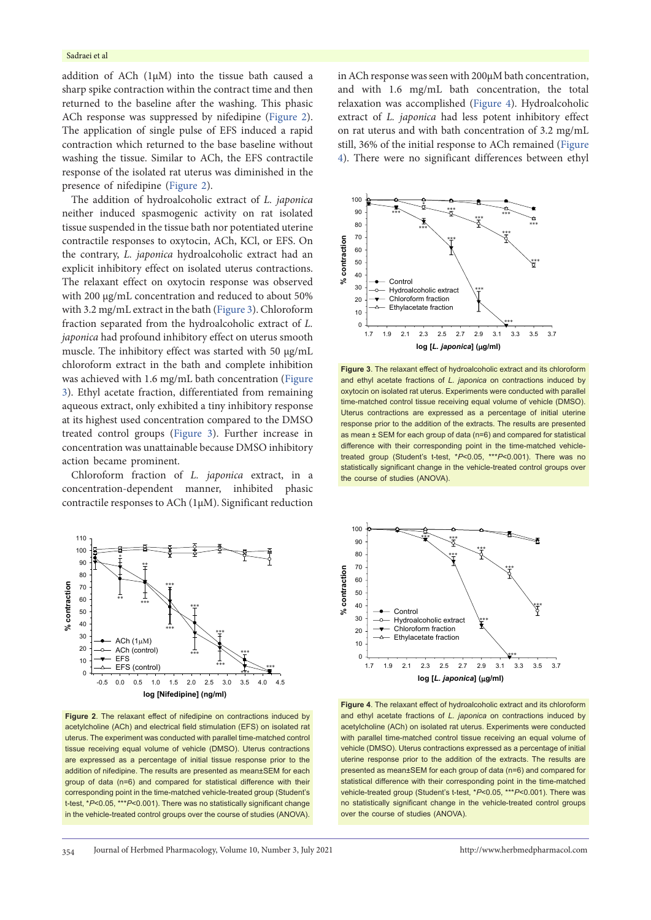addition of ACh  $(1\mu M)$  into the tissue bath caused a sharp spike contraction within the contract time and then returned to the baseline after the washing. This phasic ACh response was suppressed by nifedipine [\(Figure](#page-3-0) 2). The application of single pulse of EFS induced a rapid contraction which returned to the base baseline without washing the tissue. Similar to ACh, the EFS contractile response of the isolated rat uterus was diminished in the presence of nifedipine ([Figure](#page-3-0) 2).

The addition of hydroalcoholic extract of *L. japonica* neither induced spasmogenic activity on rat isolated tissue suspended in the tissue bath nor potentiated uterine contractile responses to oxytocin, ACh, KCl, or EFS. On the contrary, *L. japonica* hydroalcoholic extract had an explicit inhibitory effect on isolated uterus contractions. The relaxant effect on oxytocin response was observed with 200  $\mu$ g/mL concentration and reduced to about 50% with 3.2 mg/mL extract in the bath [\(Figure](#page-3-1) 3). Chloroform fraction separated from the hydroalcoholic extract of *L. japonica* had profound inhibitory effect on uterus smooth muscle. The inhibitory effect was started with 50 µg/mL chloroform extract in the bath and complete inhibition was achieved with 1.6 mg/mL bath concentration ([Figure](#page-3-1) [3](#page-3-1)). Ethyl acetate fraction, differentiated from remaining aqueous extract, only exhibited a tiny inhibitory response at its highest used concentration compared to the DMSO treated control groups ([Figure](#page-3-1) 3). Further increase in concentration was unattainable because DMSO inhibitory action became prominent.

Chloroform fraction of *L. japonica* extract, in a concentration-dependent manner, inhibited phasic contractile responses to ACh (1µM). Significant reduction

<span id="page-3-0"></span>

**Figure 2**. The relaxant effect of nifedipine on contractions induced by acetylcholine (ACh) and electrical field stimulation (EFS) on isolated rat uterus. The experiment was conducted with parallel time-matched control tissue receiving equal volume of vehicle (DMSO). Uterus contractions are expressed as a percentage of initial tissue response prior to the addition of nifedipine. The results are presented as mean±SEM for each group of data (n=6) and compared for statistical difference with their corresponding point in the time-matched vehicle-treated group (Student's t-test, \**P*<0.05, \*\*\**P*<0.001). There was no statistically significant change in the vehicle-treated control groups over the course of studies (ANOVA).

in ACh response was seen with 200µM bath concentration, and with 1.6 mg/mL bath concentration, the total relaxation was accomplished ([Figure](#page-3-2) 4). Hydroalcoholic extract of *L. japonica* had less potent inhibitory effect on rat uterus and with bath concentration of 3.2 mg/mL still, 36% of the initial response to ACh remained ([Figure](#page-3-2) [4\)](#page-3-2). There were no significant differences between ethyl

<span id="page-3-1"></span>

**Figure 3**. The relaxant effect of hydroalcoholic extract and its chloroform and ethyl acetate fractions of *L. japonica* on contractions induced by oxytocin on isolated rat uterus. Experiments were conducted with parallel time-matched control tissue receiving equal volume of vehicle (DMSO). Uterus contractions are expressed as a percentage of initial uterine response prior to the addition of the extracts. The results are presented as mean ± SEM for each group of data (n=6) and compared for statistical difference with their corresponding point in the time-matched vehicletreated group (Student's t-test, \**P*<0.05, \*\*\**P*<0.001). There was no statistically significant change in the vehicle-treated control groups over the course of studies (ANOVA).

<span id="page-3-2"></span>

**Figure 4**. The relaxant effect of hydroalcoholic extract and its chloroform and ethyl acetate fractions of *L. japonica* on contractions induced by acetylcholine (ACh) on isolated rat uterus. Experiments were conducted with parallel time-matched control tissue receiving an equal volume of vehicle (DMSO). Uterus contractions expressed as a percentage of initial uterine response prior to the addition of the extracts. The results are presented as mean±SEM for each group of data (n=6) and compared for statistical difference with their corresponding point in the time-matched vehicle-treated group (Student's t-test, \**P*<0.05, \*\*\**P*<0.001). There was no statistically significant change in the vehicle-treated control groups over the course of studies (ANOVA).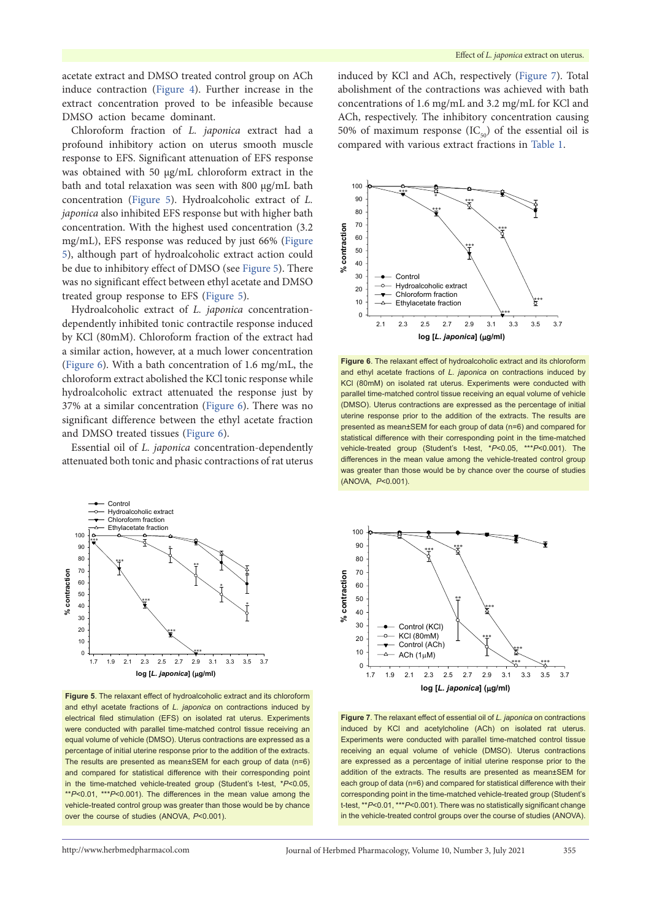acetate extract and DMSO treated control group on ACh induce contraction ([Figure](#page-3-2) 4). Further increase in the extract concentration proved to be infeasible because DMSO action became dominant.

Chloroform fraction of *L. japonica* extract had a profound inhibitory action on uterus smooth muscle response to EFS. Significant attenuation of EFS response was obtained with 50 µg/mL chloroform extract in the bath and total relaxation was seen with 800 µg/mL bath concentration ([Figure](#page-4-0) 5). Hydroalcoholic extract of *L. japonica* also inhibited EFS response but with higher bath concentration. With the highest used concentration (3.2 mg/mL), EFS response was reduced by just 66% ([Figure](#page-4-0) [5](#page-4-0)), although part of hydroalcoholic extract action could be due to inhibitory effect of DMSO (see [Figure](#page-4-0) 5). There was no significant effect between ethyl acetate and DMSO treated group response to EFS [\(Figure](#page-4-0) 5).

Hydroalcoholic extract of *L. japonica* concentrationdependently inhibited tonic contractile response induced by KCl (80mM). Chloroform fraction of the extract had a similar action, however, at a much lower concentration [\(Figure](#page-4-1) 6). With a bath concentration of 1.6 mg/mL, the chloroform extract abolished the KCl tonic response while hydroalcoholic extract attenuated the response just by 37% at a similar concentration [\(Figure](#page-4-1) 6). There was no significant difference between the ethyl acetate fraction and DMSO treated tissues [\(Figure](#page-4-1) 6).

Essential oil of *L. japonica* concentration-dependently attenuated both tonic and phasic contractions of rat uterus

<span id="page-4-0"></span>

**Figure 5**. The relaxant effect of hydroalcoholic extract and its chloroform and ethyl acetate fractions of *L. japonica* on contractions induced by electrical filed stimulation (EFS) on isolated rat uterus. Experiments were conducted with parallel time-matched control tissue receiving an equal volume of vehicle (DMSO). Uterus contractions are expressed as a percentage of initial uterine response prior to the addition of the extracts. The results are presented as mean±SEM for each group of data (n=6) and compared for statistical difference with their corresponding point in the time-matched vehicle-treated group (Student's t-test, \**P*<0.05, \*\**P*<0.01, \*\*\**P*<0.001). The differences in the mean value among the vehicle-treated control group was greater than those would be by chance over the course of studies (ANOVA, *P*<0.001).

induced by KCl and ACh, respectively ([Figure](#page-4-2) 7). Total abolishment of the contractions was achieved with bath concentrations of 1.6 mg/mL and 3.2 mg/mL for KCl and ACh, respectively. The inhibitory concentration causing 50% of maximum response  $(IC_{\epsilon_0})$  of the essential oil is compared with various extract fractions in [Table](#page-5-0) 1.

<span id="page-4-1"></span>

**Figure 6**. The relaxant effect of hydroalcoholic extract and its chloroform and ethyl acetate fractions of *L. japonica* on contractions induced by KCl (80mM) on isolated rat uterus. Experiments were conducted with parallel time-matched control tissue receiving an equal volume of vehicle (DMSO). Uterus contractions are expressed as the percentage of initial uterine response prior to the addition of the extracts. The results are presented as mean±SEM for each group of data (n=6) and compared for statistical difference with their corresponding point in the time-matched vehicle-treated group (Student's t-test, \**P*<0.05, \*\*\**P*<0.001). The differences in the mean value among the vehicle-treated control group was greater than those would be by chance over the course of studies (ANOVA, *P*<0.001).

<span id="page-4-2"></span>

**Figure 7**. The relaxant effect of essential oil of *L. japonica* on contractions induced by KCl and acetylcholine (ACh) on isolated rat uterus. Experiments were conducted with parallel time-matched control tissue receiving an equal volume of vehicle (DMSO). Uterus contractions are expressed as a percentage of initial uterine response prior to the addition of the extracts. The results are presented as mean±SEM for each group of data (n=6) and compared for statistical difference with their corresponding point in the time-matched vehicle-treated group (Student's t-test, \*\**P*<0.01, \*\*\**P*<0.001). There was no statistically significant change in the vehicle-treated control groups over the course of studies (ANOVA).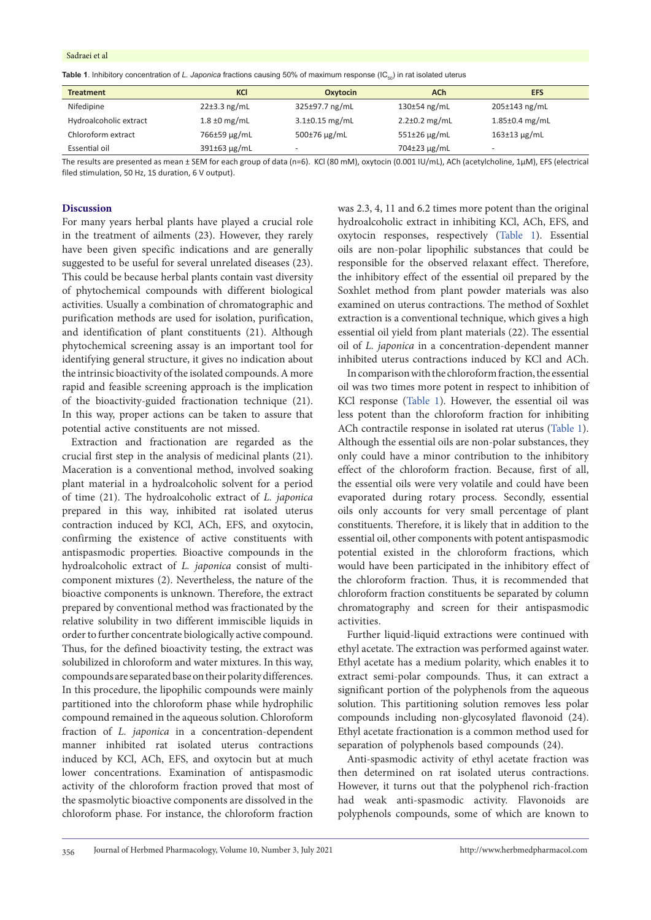<span id="page-5-0"></span>**Table 1**. Inhibitory concentration of L. Japonica fractions causing 50% of maximum response (IC<sub>50</sub>) in rat isolated uterus

| <b>Treatment</b>       | KCI                | Oxytocin             | <b>ACh</b>          | <b>EFS</b>           |
|------------------------|--------------------|----------------------|---------------------|----------------------|
| Nifedipine             | $22 \pm 3.3$ ng/mL | 325±97.7 ng/mL       | 130±54 ng/mL        | 205±143 ng/mL        |
| Hydroalcoholic extract | $1.8 \pm 0$ mg/mL  | $3.1 \pm 0.15$ mg/mL | $2.2 \pm 0.2$ mg/mL | $1.85 \pm 0.4$ mg/mL |
| Chloroform extract     | 766±59 µg/mL       | 500±76 µg/mL         | $551\pm26$ µg/mL    | $163\pm13$ µg/mL     |
| Essential oil          | $391\pm63$ µg/mL   | -                    | 704±23 µg/mL        |                      |

The results are presented as mean ± SEM for each group of data (n=6). KCl (80 mM), oxytocin (0.001 IU/mL), ACh (acetylcholine, 1µM), EFS (electrical filed stimulation, 50 Hz, 1S duration, 6 V output).

## **Discussion**

For many years herbal plants have played a crucial role in the treatment of ailments (23). However, they rarely have been given specific indications and are generally suggested to be useful for several unrelated diseases (23). This could be because herbal plants contain vast diversity of phytochemical compounds with different biological activities. Usually a combination of chromatographic and purification methods are used for isolation, purification, and identification of plant constituents (21). Although phytochemical screening assay is an important tool for identifying general structure, it gives no indication about the intrinsic bioactivity of the isolated compounds. A more rapid and feasible screening approach is the implication of the bioactivity-guided fractionation technique (21). In this way, proper actions can be taken to assure that potential active constituents are not missed.

Extraction and fractionation are regarded as the crucial first step in the analysis of medicinal plants (21). Maceration is a conventional method, involved soaking plant material in a hydroalcoholic solvent for a period of time (21). The hydroalcoholic extract of *L. japonica* prepared in this way, inhibited rat isolated uterus contraction induced by KCl, ACh, EFS, and oxytocin, confirming the existence of active constituents with antispasmodic properties*.* Bioactive compounds in the hydroalcoholic extract of *L. japonica* consist of multicomponent mixtures (2). Nevertheless, the nature of the bioactive components is unknown. Therefore, the extract prepared by conventional method was fractionated by the relative solubility in two different immiscible liquids in order to further concentrate biologically active compound. Thus, for the defined bioactivity testing, the extract was solubilized in chloroform and water mixtures. In this way, compounds are separated base on their polarity differences. In this procedure, the lipophilic compounds were mainly partitioned into the chloroform phase while hydrophilic compound remained in the aqueous solution. Chloroform fraction of *L. japonica* in a concentration-dependent manner inhibited rat isolated uterus contractions induced by KCl, ACh, EFS, and oxytocin but at much lower concentrations. Examination of antispasmodic activity of the chloroform fraction proved that most of the spasmolytic bioactive components are dissolved in the chloroform phase. For instance, the chloroform fraction

was 2.3, 4, 11 and 6.2 times more potent than the original hydroalcoholic extract in inhibiting KCl, ACh, EFS, and oxytocin responses, respectively ([Table](#page-5-0) 1). Essential oils are non-polar lipophilic substances that could be responsible for the observed relaxant effect. Therefore, the inhibitory effect of the essential oil prepared by the Soxhlet method from plant powder materials was also examined on uterus contractions. The method of Soxhlet extraction is a conventional technique, which gives a high essential oil yield from plant materials (22). The essential oil of *L. japonica* in a concentration-dependent manner inhibited uterus contractions induced by KCl and ACh.

In comparison with the chloroform fraction, the essential oil was two times more potent in respect to inhibition of KCl response ([Table](#page-5-0) 1). However, the essential oil was less potent than the chloroform fraction for inhibiting ACh contractile response in isolated rat uterus ([Table](#page-5-0) 1). Although the essential oils are non-polar substances, they only could have a minor contribution to the inhibitory effect of the chloroform fraction. Because, first of all, the essential oils were very volatile and could have been evaporated during rotary process. Secondly, essential oils only accounts for very small percentage of plant constituents. Therefore, it is likely that in addition to the essential oil, other components with potent antispasmodic potential existed in the chloroform fractions, which would have been participated in the inhibitory effect of the chloroform fraction. Thus, it is recommended that chloroform fraction constituents be separated by column chromatography and screen for their antispasmodic activities.

Further liquid-liquid extractions were continued with ethyl acetate. The extraction was performed against water. Ethyl acetate has a medium polarity, which enables it to extract semi-polar compounds. Thus, it can extract a significant portion of the polyphenols from the aqueous solution. This partitioning solution removes less polar compounds including non-glycosylated flavonoid (24). Ethyl acetate fractionation is a common method used for separation of polyphenols based compounds (24).

Anti-spasmodic activity of ethyl acetate fraction was then determined on rat isolated uterus contractions. However, it turns out that the polyphenol rich-fraction had weak anti-spasmodic activity. Flavonoids are polyphenols compounds, some of which are known to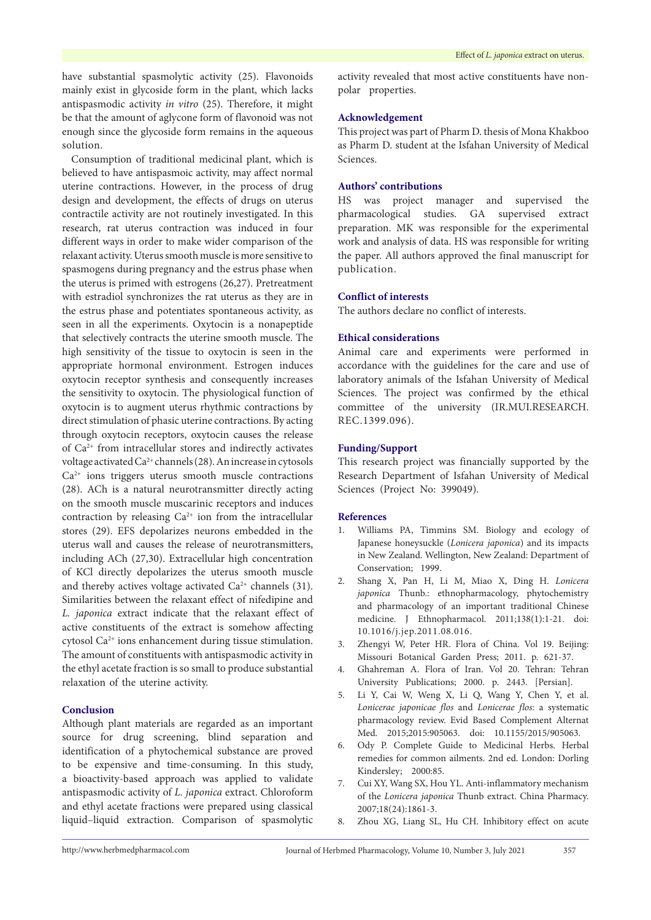have substantial spasmolytic activity (25). Flavonoids mainly exist in glycoside form in the plant, which lacks antispasmodic activity *in vitro* (25). Therefore, it might be that the amount of aglycone form of flavonoid was not enough since the glycoside form remains in the aqueous solution.

Consumption of traditional medicinal plant, which is believed to have antispasmoic activity, may affect normal uterine contractions. However, in the process of drug design and development, the effects of drugs on uterus contractile activity are not routinely investigated. In this research, rat uterus contraction was induced in four different ways in order to make wider comparison of the relaxant activity. Uterus smooth muscle is more sensitive to spasmogens during pregnancy and the estrus phase when the uterus is primed with estrogens (26,27). Pretreatment with estradiol synchronizes the rat uterus as they are in the estrus phase and potentiates spontaneous activity, as seen in all the experiments. Oxytocin is a nonapeptide that selectively contracts the uterine smooth muscle. The high sensitivity of the tissue to oxytocin is seen in the appropriate hormonal environment. Estrogen induces oxytocin receptor synthesis and consequently increases the sensitivity to oxytocin. The physiological function of oxytocin is to augment uterus rhythmic contractions by direct stimulation of phasic uterine contractions. By acting through oxytocin receptors, oxytocin causes the release of Ca2+ from intracellular stores and indirectly activates voltage activated Ca2+ channels (28). An increase in cytosols  $Ca<sup>2+</sup>$  ions triggers uterus smooth muscle contractions (28). ACh is a natural neurotransmitter directly acting on the smooth muscle muscarinic receptors and induces contraction by releasing  $Ca^{2+}$  ion from the intracellular stores (29). EFS depolarizes neurons embedded in the uterus wall and causes the release of neurotransmitters, including ACh (27,30). Extracellular high concentration of KCl directly depolarizes the uterus smooth muscle and thereby actives voltage activated  $Ca^{2+}$  channels (31). Similarities between the relaxant effect of nifedipine and *L. japonica* extract indicate that the relaxant effect of active constituents of the extract is somehow affecting cytosol Ca2+ ions enhancement during tissue stimulation. The amount of constituents with antispasmodic activity in the ethyl acetate fraction is so small to produce substantial relaxation of the uterine activity.

# **Conclusion**

Although plant materials are regarded as an important source for drug screening, blind separation and identification of a phytochemical substance are proved to be expensive and time-consuming. In this study, a bioactivity-based approach was applied to validate antispasmodic activity of *L. japonica* extract. Chloroform and ethyl acetate fractions were prepared using classical liquid–liquid extraction. Comparison of spasmolytic activity revealed that most active constituents have nonpolar properties.

#### **Acknowledgement**

This project was part of Pharm D. thesis of Mona Khakboo as Pharm D. student at the Isfahan University of Medical Sciences.

#### **Authors' contributions**

HS was project manager and supervised the pharmacological studies. GA supervised extract preparation. MK was responsible for the experimental work and analysis of data. HS was responsible for writing the paper. All authors approved the final manuscript for publication.

#### **Conflict of interests**

The authors declare no conflict of interests.

# **Ethical considerations**

Animal care and experiments were performed in accordance with the guidelines for the care and use of laboratory animals of the Isfahan University of Medical Sciences. The project was confirmed by the ethical committee of the university (IR.MUI.RESEARCH. REC.1399.096).

# **Funding/Support**

This research project was financially supported by the Research Department of Isfahan University of Medical Sciences (Project No: 399049).

# **References**

- 1. Williams PA, Timmins SM. Biology and ecology of Japanese honeysuckle (*Lonicera japonica*) and its impacts in New Zealand. Wellington, New Zealand: Department of Conservation; 1999.
- 2. Shang X, Pan H, Li M, Miao X, Ding H. *Lonicera japonica* Thunb.: ethnopharmacology, phytochemistry and pharmacology of an important traditional Chinese medicine. J Ethnopharmacol. 2011;138(1):1-21. doi: 10.1016/j.jep.2011.08.016.
- 3. Zhengyi W, Peter HR. Flora of China. Vol 19. Beijing: Missouri Botanical Garden Press; 2011. p. 621-37.
- 4. Ghahreman A. Flora of Iran. Vol 20. Tehran: Tehran University Publications; 2000. p. 2443. [Persian].
- 5. Li Y, Cai W, Weng X, Li Q, Wang Y, Chen Y, et al. *Lonicerae japonicae flos* and *Lonicerae flos*: a systematic pharmacology review. Evid Based Complement Alternat Med. 2015;2015:905063. doi: 10.1155/2015/905063.
- 6. Ody P. Complete Guide to Medicinal Herbs. Herbal remedies for common ailments. 2nd ed. London: Dorling Kindersley; 2000:85.
- 7. Cui XY, Wang SX, Hou YL. Anti-inflammatory mechanism of the *Lonicera japonica* Thunb extract. China Pharmacy. 2007;18(24):1861-3.
- 8. Zhou XG, Liang SL, Hu CH. Inhibitory effect on acute